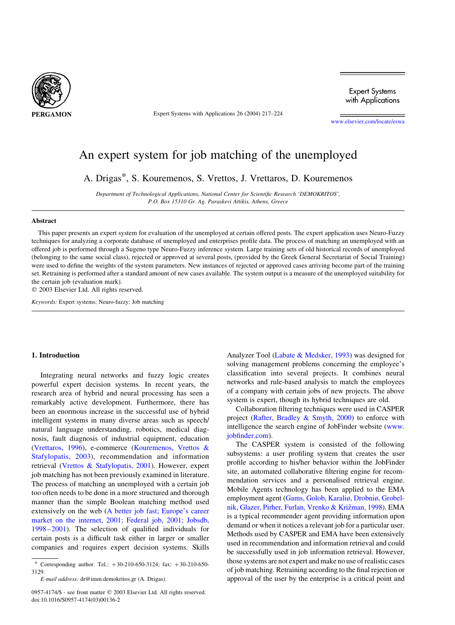

Expert Systems with Applications 26 (2004) 217–224

**Expert Systems** with Applications

[www.elsevier.com/locate/eswa](http://www.elsevier.com/locate/eswa)

# An expert system for job matching of the unemployed

A. Drigas\*, S. Kouremenos, S. Vrettos, J. Vrettaros, D. Kouremenos

Department of Technological Applications, National Center for Scientific Research 'DEMOKRITOS', P.O. Box 15310 Gr. Ag. Paraskevi Attikis, Athens, Greece

#### Abstract

This paper presents an expert system for evaluation of the unemployed at certain offered posts. The expert application uses Neuro-Fuzzy techniques for analyzing a corporate database of unemployed and enterprises profile data. The process of matching an unemployed with an offered job is performed through a Sugeno type Neuro-Fuzzy inference system. Large training sets of old historical records of unemployed (belonging to the same social class), rejected or approved at several posts, (provided by the Greek General Secretariat of Social Training) were used to define the weights of the system parameters. New instances of rejected or approved cases arriving become part of the training set. Retraining is performed after a standard amount of new cases available. The system output is a measure of the unemployed suitability for the certain job (evaluation mark).

 $© 2003 Elsevier Ltd. All rights reserved.$ 

Keywords: Expert systems; Neuro-fuzzy; Job matching

## 1. Introduction

Integrating neural networks and fuzzy logic creates powerful expert decision systems. In recent years, the research area of hybrid and neural processing has seen a remarkably active development. Furthermore, there has been an enormous increase in the successful use of hybrid intelligent systems in many diverse areas such as speech/ natural language understanding, robotics, medical diagnosis, fault diagnosis of industrial equipment, education ([Vrettaros, 1996\)](#page-7-0), e-commerce [\(Kouremenos, Vrettos &](#page-6-0) [Stafylopatis, 2003](#page-6-0)), recommendation and information retrieval [\(Vrettos & Stafylopatis, 2001](#page-7-0)). However, expert job matching has not been previously examined in literature. The process of matching an unemployed with a certain job too often needs to be done in a more structured and thorough manner than the simple Boolean matching method used extensively on the web ([A better job fast; Europe's career](#page-6-0) [market on the internet, 2001; Federal job, 2001; Jobsdb,](#page-6-0) [1998–2001](#page-6-0)). The selection of qualified individuals for certain posts is a difficult task either in larger or smaller companies and requires expert decision systems. Skills

Analyzer Tool ([Labate & Medsker, 1993](#page-6-0)) was designed for solving management problems concerning the employee's classification into several projects. It combines neural networks and rule-based analysis to match the employees of a company with certain jobs of new projects. The above system is expert, though its hybrid techniques are old.

Collaboration filtering techniques were used in CASPER project (Rafter, Bradley  $\&$  Smyth, 2000) to enforce with intelligence the search engine of JobFinder website ([www.](http://www.jobfinder.com) [jobfinder.com](http://www.jobfinder.com)).

The CASPER system is consisted of the following subsystems: a user profiling system that creates the user profile according to his/her behavior within the JobFinder site, an automated collaborative filtering engine for recommendation services and a personalised retrieval engine. Mobile Agents technology has been applied to the EMA employment agent [\(Gams, Golob, Karaliø, Drobniø, Grobel](#page-6-0)nik, Glazer, Pirher, Furlan, Vrenko & Križman, 1998). EMA is a typical recommender agent providing information upon demand or when it notices a relevant job for a particular user. Methods used by CASPER and EMA have been extensively used in recommendation and information retrieval and could be successfully used in job information retrieval. However, those systems are not expert and make no use of realistic cases of job matching. Retraining according to the final rejection or approval of the user by the enterprise is a critical point and

<sup>\*</sup> Corresponding author. Tel.:  $+30-210-650-3124$ ; fax:  $+30-210-650-$ 3129.

E-mail address: dr@imm.demokritos.gr (A. Drigas).

<sup>0957-4174/\$ -</sup> see front matter © 2003 Elsevier Ltd. All rights reserved. doi:10.1016/S0957-4174(03)00136-2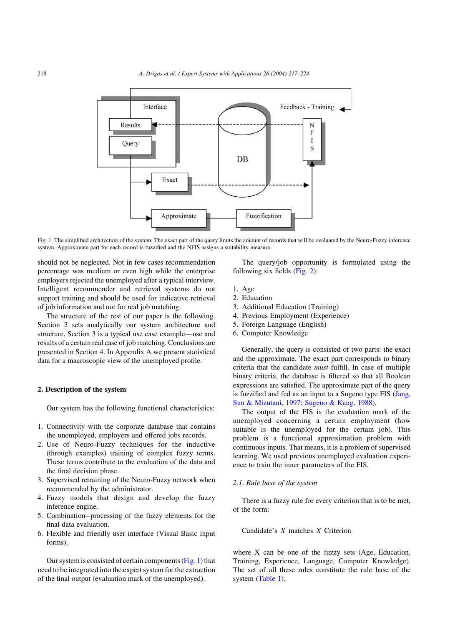

Fig. 1. The simplified architecture of the system. The exact part of the query limits the amount of records that will be evaluated by the Neuro-Fuzzy inference system. Approximate part for each record is fuzzified and the NFIS assigns a suitability measure.

should not be neglected. Not in few cases recommendation percentage was medium or even high while the enterprise employers rejected the unemployed after a typical interview. Intelligent recommender and retrieval systems do not support training and should be used for indicative retrieval of job information and not for real job matching.

The structure of the rest of our paper is the following. Section 2 sets analytically our system architecture and structure, Section 3 is a typical use case example—use and results of a certain real case of job matching. Conclusions are presented in Section 4. In Appendix A we present statistical data for a macroscopic view of the unemployed profile.

## 2. Description of the system

Our system has the following functional characteristics:

- 1. Connectivity with the corporate database that contains the unemployed, employers and offered jobs records.
- 2. Use of Neuro-Fuzzy techniques for the inductive (through examples) training of complex fuzzy terms. These terms contribute to the evaluation of the data and the final decision phase.
- 3. Supervised retraining of the Neuro-Fuzzy network when recommended by the administrator.
- 4. Fuzzy models that design and develop the fuzzy inference engine.
- 5. Combination–processing of the fuzzy elements for the final data evaluation.
- 6. Flexible and friendly user interface (Visual Basic input forms).

Our system is consisted of certain components (Fig. 1) that need to be integrated into the expert system for the extraction of the final output (evaluation mark of the unemployed).

The query/job opportunity is formulated using the following six fields [\(Fig. 2\)](#page-2-0):

- 1. Age
- 2. Education
- 3. Additional Education (Training)
- 4. Previous Employment (Experience)
- 5. Foreign Language (English)
- 6. Computer Knowledge

Generally, the query is consisted of two parts: the exact and the approximate. The exact part corresponds to binary criteria that the candidate must fulfill. In case of multiple binary criteria, the database is filtered so that all Boolean expressions are satisfied. The approximate part of the query is fuzzified and fed as an input to a Sugeno type FIS ([Jang,](#page-6-0) [Sun & Mizutani, 1997; Sugeno & Kang, 1988](#page-6-0)).

The output of the FIS is the evaluation mark of the unemployed concerning a certain employment (how suitable is the unemployed for the certain job). This problem is a functional approximation problem with continuous inputs. That means, it is a problem of supervised learning. We used previous unemployed evaluation experience to train the inner parameters of the FIS.

## 2.1. Rule base of the system

There is a fuzzy rule for every criterion that is to be met, of the form:

Candidate's X matches X Criterion

where X can be one of the fuzzy sets (Age, Education, Training, Experience, Language, Computer Knowledge). The set of all these rules constitute the rule base of the system ([Table 1\)](#page-2-0).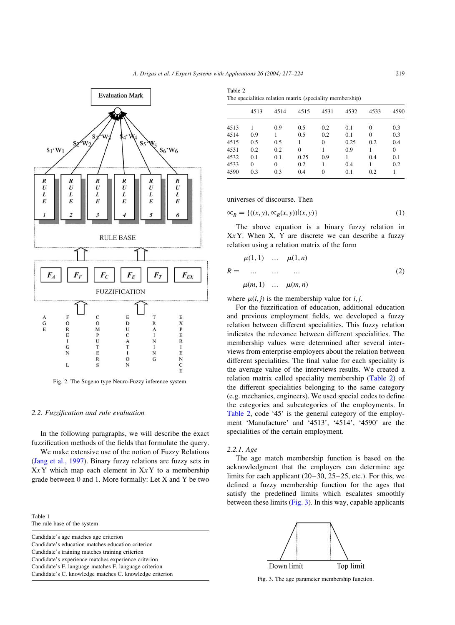Table 2

<span id="page-2-0"></span>

Fig. 2. The Sugeno type Neuro-Fuzzy inference system.

#### 2.2. Fuzzification and rule evaluation

In the following paragraphs, we will describe the exact fuzzification methods of the fields that formulate the query.

We make extensive use of the notion of Fuzzy Relations ([Jang et al., 1997\)](#page-6-0). Binary fuzzy relations are fuzzy sets in  $XXY$  which map each element in  $XXY$  to a membership grade between 0 and 1. More formally: Let X and Y be two

Table 1 The rule base of the system

Candidate's age matches age criterion Candidate's education matches education criterion Candidate's training matches training criterion Candidate's experience matches experience criterion Candidate's F. language matches F. language criterion Candidate's C. knowledge matches C. knowledge criterion

| The specialities relation matrix (speciality membership) |      |      |      |          |      |      |      |
|----------------------------------------------------------|------|------|------|----------|------|------|------|
|                                                          | 4513 | 4514 | 4515 | 4531     | 4532 | 4533 | 4590 |
| 4513                                                     |      | 0.9  | 0.5  | 0.2      | 0.1  | 0    | 0.3  |
| 4514                                                     | 0.9  |      | 0.5  | 0.2      | 0.1  | 0    | 0.3  |
| 4515                                                     | 0.5  | 0.5  |      | $\Omega$ | 0.25 | 0.2  | 0.4  |
| 4531                                                     | 0.2  | 0.2  | 0    |          | 0.9  |      | 0    |
| 4532                                                     | 0.1  | 0.1  | 0.25 | 0.9      |      | 0.4  | 0.1  |
| 4533                                                     | 0    | 0    | 0.2  |          | 0.4  |      | 0.2  |

4590 0.3 0.3 0.4 0 0.1 0.2 1

universes of discourse. Then

$$
\mathbf{x}_R = \{((x, y), \mathbf{x}_R(x, y)) | (x, y)\}\tag{1}
$$

The above equation is a binary fuzzy relation in  $X<sub>x</sub>$  Y. When X, Y are discrete we can describe a fuzzy relation using a relation matrix of the form

$$
\mu(1,1) \dots \mu(1,n) \nR = \dots \dots \dots \n\mu(m,1) \dots \mu(m,n)
$$
\n(2)

where  $\mu(i, j)$  is the membership value for *i*, *j*.

For the fuzzification of education, additional education and previous employment fields, we developed a fuzzy relation between different specialities. This fuzzy relation indicates the relevance between different specialities. The membership values were determined after several interviews from enterprise employers about the relation between different specialities. The final value for each speciality is the average value of the interviews results. We created a relation matrix called speciality membership (Table 2) of the different specialities belonging to the same category (e.g. mechanics, engineers). We used special codes to define the categories and subcategories of the employments. In Table 2, code '45' is the general category of the employment 'Manufacture' and '4513', '4514', '4590' are the specialities of the certain employment.

#### 2.2.1. Age

The age match membership function is based on the acknowledgment that the employers can determine age limits for each applicant (20–30, 25–25, etc.). For this, we defined a fuzzy membership function for the ages that satisfy the predefined limits which escalates smoothly between these limits (Fig. 3). In this way, capable applicants



Fig. 3. The age parameter membership function.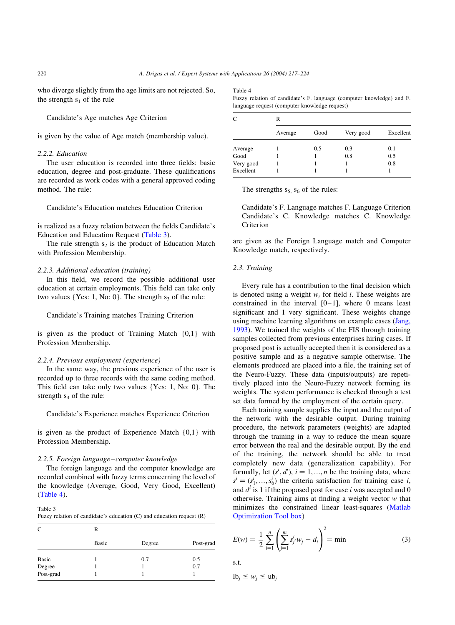who diverge slightly from the age limits are not rejected. So, the strength  $s_1$  of the rule

Candidate's Age matches Age Criterion

is given by the value of Age match (membership value).

## 2.2.2. Education

The user education is recorded into three fields: basic education, degree and post-graduate. These qualifications are recorded as work codes with a general approved coding method. The rule:

Candidate's Education matches Education Criterion

is realized as a fuzzy relation between the fields Candidate's Education and Education Request (Table 3).

The rule strength  $s_2$  is the product of Education Match with Profession Membership.

#### 2.2.3. Additional education (training)

In this field, we record the possible additional user education at certain employments. This field can take only two values  ${Yes: 1, No: 0}.$  The strength  $s<sub>3</sub>$  of the rule:

Candidate's Training matches Training Criterion

is given as the product of Training Match {0,1} with Profession Membership.

#### 2.2.4. Previous employment (experience)

In the same way, the previous experience of the user is recorded up to three records with the same coding method. This field can take only two values {Yes: 1, No: 0}. The strength  $s_4$  of the rule:

Candidate's Experience matches Experience Criterion

is given as the product of Experience Match {0,1} with Profession Membership.

#### 2.2.5. Foreign language–computer knowledge

The foreign language and the computer knowledge are recorded combined with fuzzy terms concerning the level of the knowledge (Average, Good, Very Good, Excellent) (Table 4).

Table 3

Fuzzy relation of candidate's education (C) and education request (R)

| C                   | R            |        |           |  |
|---------------------|--------------|--------|-----------|--|
|                     | <b>Basic</b> | Degree | Post-grad |  |
| Basic               |              | 0.7    | 0.5       |  |
|                     |              |        | 0.7       |  |
| Degree<br>Post-grad |              |        |           |  |

#### Table 4

Fuzzy relation of candidate's F. language (computer knowledge) and F. language request (computer knowledge request)

| C         | R       |      |           |           |  |  |
|-----------|---------|------|-----------|-----------|--|--|
|           | Average | Good | Very good | Excellent |  |  |
| Average   |         | 0.5  | 0.3       | 0.1       |  |  |
| Good      |         |      | 0.8       | 0.5       |  |  |
| Very good |         |      |           | 0.8       |  |  |
| Excellent |         |      |           |           |  |  |

The strengths  $s_5$ ,  $s_6$  of the rules:

Candidate's F. Language matches F. Language Criterion Candidate's C. Knowledge matches C. Knowledge Criterion

are given as the Foreign Language match and Computer Knowledge match, respectively.

#### 2.3. Training

Every rule has a contribution to the final decision which is denoted using a weight  $w_i$  for field i. These weights are constrained in the interval  $[0-1]$ , where 0 means least significant and 1 very significant. These weights change using machine learning algorithms on example cases ([Jang,](#page-6-0) [1993\)](#page-6-0). We trained the weights of the FIS through training samples collected from previous enterprises hiring cases. If proposed post is actually accepted then it is considered as a positive sample and as a negative sample otherwise. The elements produced are placed into a file, the training set of the Neuro-Fuzzy. These data (inputs/outputs) are repetitively placed into the Neuro-Fuzzy network forming its weights. The system performance is checked through a test set data formed by the employment of the certain query.

Each training sample supplies the input and the output of the network with the desirable output. During training procedure, the network parameters (weights) are adapted through the training in a way to reduce the mean square error between the real and the desirable output. By the end of the training, the network should be able to treat completely new data (generalization capability). For formally, let  $(s^i, d^i)$ ,  $i = 1, ..., n$  be the training data, where  $s^i = (s_1^i, ..., s_6^i)$  the criteria satisfaction for training case *i*, and  $d^i$  is 1 if the proposed post for case i was accepted and 0 otherwise. Training aims at finding a weight vector  $w$  that minimizes the constrained linear least-squares [\(Matlab](#page-7-0) [Optimization Tool box](#page-7-0))

$$
E(w) = \frac{1}{2} \sum_{i=1}^{n} \left( \sum_{j=1}^{m} s_j^i \cdot w_j - d_i \right)^2 = \min \tag{3}
$$

s.t.

$$
lb_j \le w_j \le ub_j
$$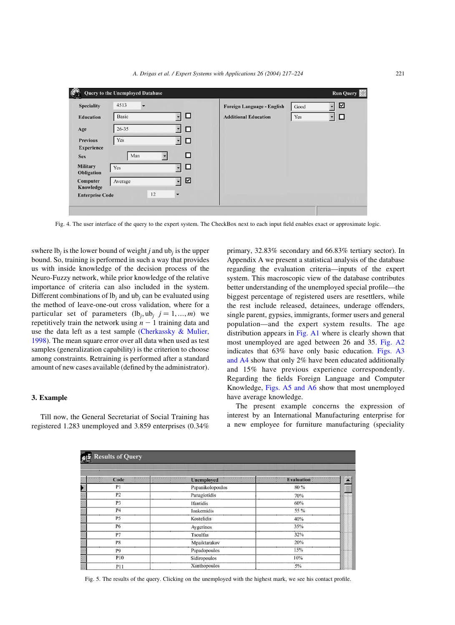<span id="page-4-0"></span>

| <b>Speciality</b>                    | 4513<br>$\overline{\phantom{a}}$ |         | Foreign Language - English  | Good | ☑ |
|--------------------------------------|----------------------------------|---------|-----------------------------|------|---|
| <b>Education</b>                     | <b>Basic</b>                     | □       | <b>Additional Education</b> | Yes  | □ |
| Age                                  | $26 - 35$                        | □       |                             |      |   |
| <b>Previous</b>                      | Yes                              | □       |                             |      |   |
| <b>Experience</b>                    |                                  |         |                             |      |   |
| <b>Sex</b>                           | Man                              | □       |                             |      |   |
| <b>Military</b><br><b>Obligation</b> | Yes                              | □       |                             |      |   |
| Computer                             | Average                          | ☑<br>▾  |                             |      |   |
| Knowledge                            |                                  |         |                             |      |   |
| <b>Enterprise Code</b>               | 12                               | $\cdot$ |                             |      |   |

Fig. 4. The user interface of the query to the expert system. The CheckBox next to each input field enables exact or approximate logic.

swhere  $\mathbf{I} \mathbf{b}_i$  is the lower bound of weight j and  $\mathbf{u} \mathbf{b}_i$  is the upper bound. So, training is performed in such a way that provides us with inside knowledge of the decision process of the Neuro-Fuzzy network, while prior knowledge of the relative importance of criteria can also included in the system. Different combinations of  $lb_i$  and  $ub_i$  can be evaluated using the method of leave-one-out cross validation, where for a particular set of parameters  $(lb_i, ub_j \t j = 1, ..., m)$  we repetitively train the network using  $n - 1$  training data and use the data left as a test sample (Cherkassky  $\&$  Mulier, [1998](#page-6-0)). The mean square error over all data when used as test samples (generalization capability) is the criterion to choose among constraints. Retraining is performed after a standard amount of new cases available (defined by the administrator).

## 3. Example

Till now, the General Secretariat of Social Training has registered 1.283 unemployed and 3.859 enterprises (0.34% primary, 32.83% secondary and 66.83% tertiary sector). In Appendix A we present a statistical analysis of the database regarding the evaluation criteria—inputs of the expert system. This macroscopic view of the database contributes better understanding of the unemployed special profile—the biggest percentage of registered users are resettlers, while the rest include released, detainees, underage offenders, single parent, gypsies, immigrants, former users and general population—and the expert system results. The age distribution appears in [Fig. A1](#page-6-0) where is clearly shown that most unemployed are aged between 26 and 35. [Fig. A2](#page-6-0) indicates that 63% have only basic education. [Figs. A3](#page-6-0) [and A4](#page-6-0) show that only 2% have been educated additionally and 15% have previous experience correspondently. Regarding the fields Foreign Language and Computer Knowledge, [Figs. A5 and A6](#page-6-0) show that most unemployed have average knowledge.

The present example concerns the expression of interest by an International Manufacturing enterprise for a new employee for furniture manufacturing (speciality

| <b>Results of Query</b>      |                   |                        |  |  |  |
|------------------------------|-------------------|------------------------|--|--|--|
| $\mathcal{N}$<br>120<br>Code | <b>Unemployed</b> | 闛<br><b>Evaluation</b> |  |  |  |
| P <sub>1</sub>               | Papanikolopoulos  | 80 %<br>Ú,             |  |  |  |
| P <sub>2</sub>               | Panagiotidis      | 70%                    |  |  |  |
| P <sub>3</sub>               | Ifantidis         | 60%                    |  |  |  |
| P <sub>4</sub>               | Ioakemidis        | 55 %                   |  |  |  |
| P <sub>5</sub>               | Kostelidis        | 40%                    |  |  |  |
| <b>P6</b>                    | Aygerinos         | 35%                    |  |  |  |
| P7                           | <b>Tsoulfas</b>   | 32%                    |  |  |  |
| P8                           | Mpaiktarakov      | 20%                    |  |  |  |
| P <sub>9</sub>               | Papadopoulos      | 15%                    |  |  |  |
| P10                          | Sidiropoulos      | 10%                    |  |  |  |
| P11                          | Xanthopoulos      | $5\%$                  |  |  |  |

Fig. 5. The results of the query. Clicking on the unemployed with the highest mark, we see his contact profile.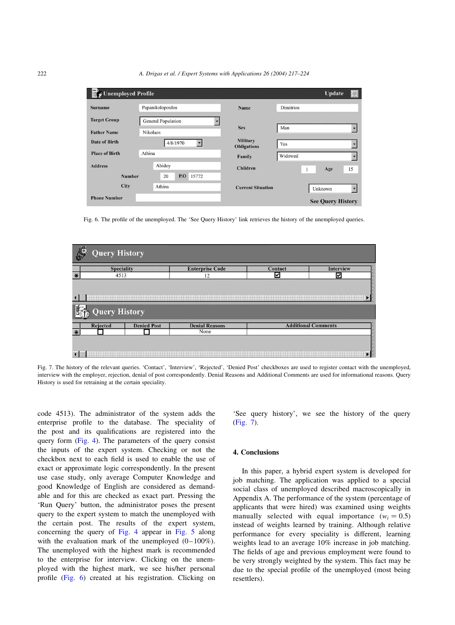| Unemployed Profile<br>巨 |                    |                                       |                  | Update                   | 兴  |
|-------------------------|--------------------|---------------------------------------|------------------|--------------------------|----|
| <b>Surname</b>          | Papanikolopoulos   | Name                                  | <b>Dimitrios</b> |                          |    |
| <b>Target Group</b>     | General Population |                                       |                  |                          |    |
| <b>Father Name</b>      | Nikolaos           | <b>Sex</b>                            | Man              |                          |    |
| <b>Date of Birth</b>    | 4/8/1970<br>▼      | <b>Military</b><br><b>Obligations</b> | Yes              |                          |    |
| <b>Place of Birth</b>   | Athina             | Family                                | <b>Widowed</b>   |                          |    |
| <b>Address</b>          | Abidoy             | <b>Children</b>                       |                  | Age<br>1                 | 15 |
| <b>Number</b>           | 15772<br>P.O<br>20 |                                       |                  |                          |    |
| City                    | Athina             | <b>Current Situation</b>              |                  | Unknown                  |    |
| <b>Phone Number</b>     |                    |                                       |                  | <b>See Query History</b> |    |

Fig. 6. The profile of the unemployed. The 'See Query History' link retrieves the history of the unemployed queries.



Fig. 7. The history of the relevant queries. 'Contact', 'Interview', 'Rejected', 'Denied Post' checkboxes are used to register contact with the unemployed, interview with the employer, rejection, denial of post correspondently. Denial Reasons and Additional Comments are used for informational reasons. Query History is used for retraining at the certain speciality.

code 4513). The administrator of the system adds the enterprise profile to the database. The speciality of the post and its qualifications are registered into the query form [\(Fig. 4](#page-4-0)). The parameters of the query consist the inputs of the expert system. Checking or not the checkbox next to each field is used to enable the use of exact or approximate logic correspondently. In the present use case study, only average Computer Knowledge and good Knowledge of English are considered as demandable and for this are checked as exact part. Pressing the 'Run Query' button, the administrator poses the present query to the expert system to match the unemployed with the certain post. The results of the expert system, concerning the query of [Fig. 4](#page-4-0) appear in [Fig. 5](#page-4-0) along with the evaluation mark of the unemployed  $(0-100\%)$ . The unemployed with the highest mark is recommended to the enterprise for interview. Clicking on the unemployed with the highest mark, we see his/her personal profile (Fig. 6) created at his registration. Clicking on

'See query history', we see the history of the query (Fig. 7).

## 4. Conclusions

In this paper, a hybrid expert system is developed for job matching. The application was applied to a special social class of unemployed described macroscopically in Appendix A. The performance of the system (percentage of applicants that were hired) was examined using weights manually selected with equal importance  $(w_i = 0.5)$ instead of weights learned by training. Although relative performance for every speciality is different, learning weights lead to an average 10% increase in job matching. The fields of age and previous employment were found to be very strongly weighted by the system. This fact may be due to the special profile of the unemployed (most being resettlers).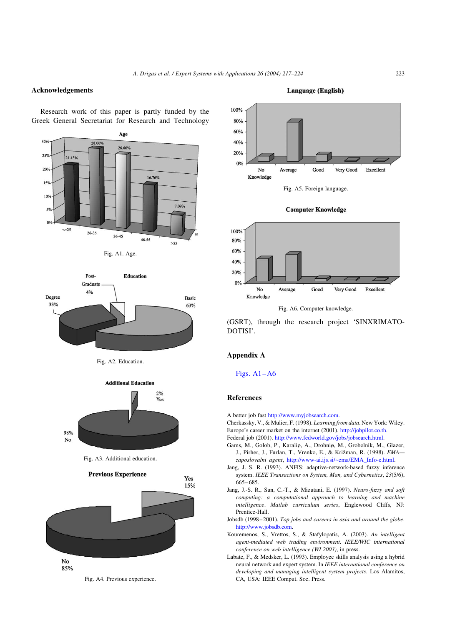## <span id="page-6-0"></span>Acknowledgements

Research work of this paper is partly funded by the Greek General Secretariat for Research and Technology



Fig. A1. Age.



Fig. A2. Education.



Fig. A3. Additional education.



Fig. A4. Previous experience.







(GSRT), through the research project 'SINXRIMATO-DOTISI'.

## Appendix A

Figs. A1–A6

## References

- A better job fast <http://www.myjobsearch.com>.
- Cherkassky, V., & Mulier, F. (1998). Learning from data. New York: Wiley. Europe's career market on the internet (2001). [http://jobpilot.co.th.](http://jobpilot.co.th)
- Federal job (2001). [http://www.fedworld.gov/jobs/jobsearch.html.](http://www.fedworld.gov/jobs/jobsearch.html)
- Gams, M., Golob, P., Karaliø, A., Drobniø, M., Grobelnik, M., Glazer, J., Pirher, J., Furlan, T., Vrenko, E., & Križman, R. (1998). EMAzaposlovalni agent, [http://www-ai.ijs.si/~ema/EMA\\_Info-e.html.](http://www-ai.ijs.si/(ema/EMA_Info-e.html)
- Jang, J. S. R. (1993). ANFIS: adaptive-network-based fuzzy inference system. IEEE Transactions on System, Man, and Cybernetics, 23(5/6), 665–685.
- Jang, J.-S. R., Sun, C.-T., & Mizutani, E. (1997). Neuro-fuzzy and soft computing: a computational approach to learning and machine intelligence. Matlab curriculum series, Englewood Cliffs, NJ: Prentice-Hall.
- Jobsdb (1998–2001). Top jobs and careers in asia and around the globe. [http://www.jobsdb.com.](http://www.jobsdb.com)
- Kouremenos, S., Vrettos, S., & Stafylopatis, A. (2003). An intelligent agent-mediated web trading environment. IEEE/WIC international conference on web intelligence (WI 2003), in press.
- Labate, F., & Medsker, L. (1993). Employee skills analysis using a hybrid neural network and expert system. In IEEE international conference on developing and managing intelligent system projects. Los Alamitos, CA, USA: IEEE Comput. Soc. Press.

**Language (English)**